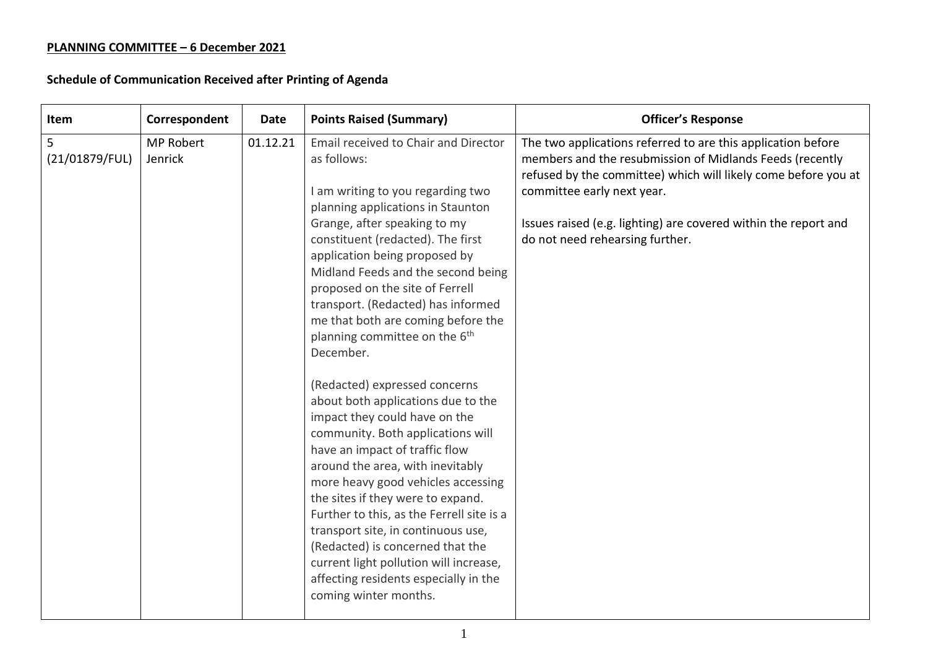## **PLANNING COMMITTEE – 6 December 2021**

## **Schedule of Communication Received after Printing of Agenda**

| Item                | Correspondent               | Date     | <b>Points Raised (Summary)</b>                                                                                                                                                                                                                                                                                                                                                                                                                                                                                                | <b>Officer's Response</b>                                                                                                                                                                                                                                                                                                      |
|---------------------|-----------------------------|----------|-------------------------------------------------------------------------------------------------------------------------------------------------------------------------------------------------------------------------------------------------------------------------------------------------------------------------------------------------------------------------------------------------------------------------------------------------------------------------------------------------------------------------------|--------------------------------------------------------------------------------------------------------------------------------------------------------------------------------------------------------------------------------------------------------------------------------------------------------------------------------|
| 5<br>(21/01879/FUL) | <b>MP Robert</b><br>Jenrick | 01.12.21 | Email received to Chair and Director<br>as follows:<br>I am writing to you regarding two<br>planning applications in Staunton<br>Grange, after speaking to my<br>constituent (redacted). The first<br>application being proposed by<br>Midland Feeds and the second being<br>proposed on the site of Ferrell<br>transport. (Redacted) has informed<br>me that both are coming before the<br>planning committee on the 6 <sup>th</sup><br>December.                                                                            | The two applications referred to are this application before<br>members and the resubmission of Midlands Feeds (recently<br>refused by the committee) which will likely come before you at<br>committee early next year.<br>Issues raised (e.g. lighting) are covered within the report and<br>do not need rehearsing further. |
|                     |                             |          | (Redacted) expressed concerns<br>about both applications due to the<br>impact they could have on the<br>community. Both applications will<br>have an impact of traffic flow<br>around the area, with inevitably<br>more heavy good vehicles accessing<br>the sites if they were to expand.<br>Further to this, as the Ferrell site is a<br>transport site, in continuous use,<br>(Redacted) is concerned that the<br>current light pollution will increase,<br>affecting residents especially in the<br>coming winter months. |                                                                                                                                                                                                                                                                                                                                |